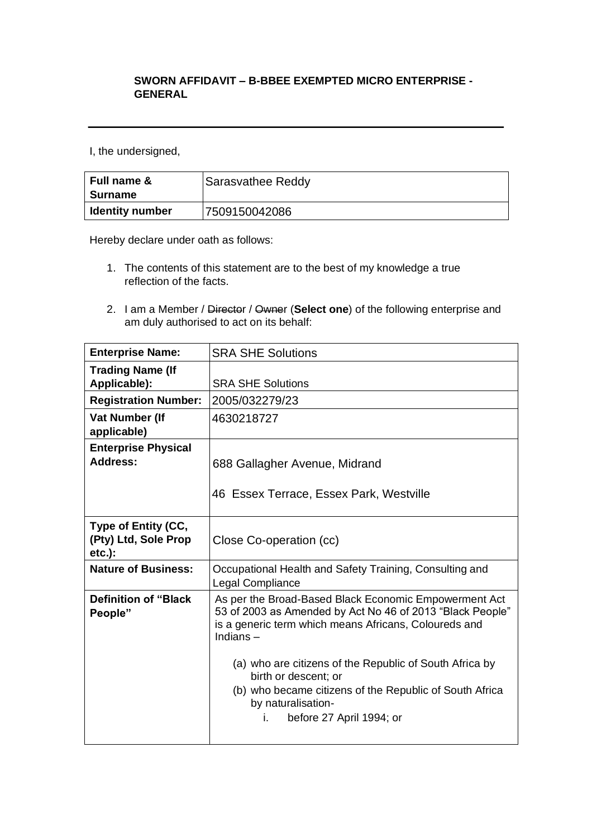## **SWORN AFFIDAVIT – B-BBEE EXEMPTED MICRO ENTERPRISE - GENERAL**

I, the undersigned,

| <b>Full name &amp;</b><br>Surname | Sarasvathee Reddy |
|-----------------------------------|-------------------|
| <b>Identity number</b>            | 7509150042086     |

Hereby declare under oath as follows:

- 1. The contents of this statement are to the best of my knowledge a true reflection of the facts.
- 2. I am a Member / Director / Owner (**Select one**) of the following enterprise and am duly authorised to act on its behalf:

| <b>Enterprise Name:</b>                                  | <b>SRA SHE Solutions</b>                                                                                                                                                                                                                                                                                                                                                                         |
|----------------------------------------------------------|--------------------------------------------------------------------------------------------------------------------------------------------------------------------------------------------------------------------------------------------------------------------------------------------------------------------------------------------------------------------------------------------------|
| <b>Trading Name (If</b><br>Applicable):                  | <b>SRA SHE Solutions</b>                                                                                                                                                                                                                                                                                                                                                                         |
| <b>Registration Number:</b>                              | 2005/032279/23                                                                                                                                                                                                                                                                                                                                                                                   |
| <b>Vat Number (If</b><br>applicable)                     | 4630218727                                                                                                                                                                                                                                                                                                                                                                                       |
| <b>Enterprise Physical</b><br><b>Address:</b>            | 688 Gallagher Avenue, Midrand<br>46 Essex Terrace, Essex Park, Westville                                                                                                                                                                                                                                                                                                                         |
| Type of Entity (CC,<br>(Pty) Ltd, Sole Prop<br>$etc.$ ): | Close Co-operation (cc)                                                                                                                                                                                                                                                                                                                                                                          |
| <b>Nature of Business:</b>                               | Occupational Health and Safety Training, Consulting and<br>Legal Compliance                                                                                                                                                                                                                                                                                                                      |
| <b>Definition of "Black</b><br>People"                   | As per the Broad-Based Black Economic Empowerment Act<br>53 of 2003 as Amended by Act No 46 of 2013 "Black People"<br>is a generic term which means Africans, Coloureds and<br>Indians $-$<br>(a) who are citizens of the Republic of South Africa by<br>birth or descent; or<br>(b) who became citizens of the Republic of South Africa<br>by naturalisation-<br>i.<br>before 27 April 1994; or |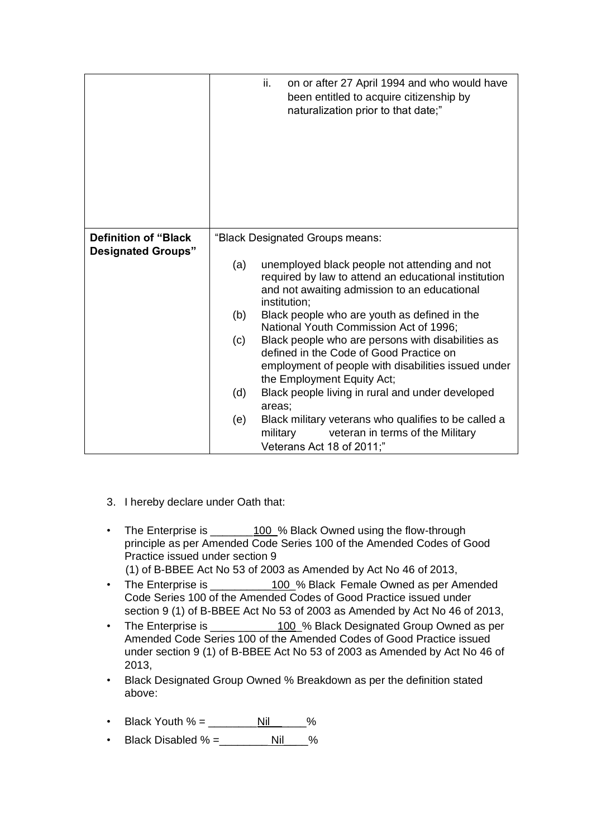|                             | ii.<br>on or after 27 April 1994 and who would have<br>been entitled to acquire citizenship by<br>naturalization prior to that date;" |
|-----------------------------|---------------------------------------------------------------------------------------------------------------------------------------|
| <b>Definition of "Black</b> | "Black Designated Groups means:                                                                                                       |
| <b>Designated Groups"</b>   | unemployed black people not attending and not<br>(a)                                                                                  |
|                             | required by law to attend an educational institution<br>and not awaiting admission to an educational<br>institution;                  |
|                             | (b)<br>Black people who are youth as defined in the<br>National Youth Commission Act of 1996;                                         |
|                             | Black people who are persons with disabilities as<br>(c)                                                                              |
|                             | defined in the Code of Good Practice on<br>employment of people with disabilities issued under                                        |
|                             | the Employment Equity Act;                                                                                                            |
|                             | (d)<br>Black people living in rural and under developed<br>areas;                                                                     |
|                             | Black military veterans who qualifies to be called a<br>(e)                                                                           |
|                             | military<br>veteran in terms of the Military<br>Veterans Act 18 of 2011;"                                                             |

- 3. I hereby declare under Oath that:
- The Enterprise is \_\_\_\_\_\_\_100\_% Black Owned using the flow-through principle as per Amended Code Series 100 of the Amended Codes of Good Practice issued under section 9 (1) of B-BBEE Act No 53 of 2003 as Amended by Act No 46 of 2013,
- The Enterprise is \_\_\_\_\_\_\_\_\_\_\_100 % Black Female Owned as per Amended Code Series 100 of the Amended Codes of Good Practice issued under section 9 (1) of B-BBEE Act No 53 of 2003 as Amended by Act No 46 of 2013,
- The Enterprise is \_\_\_\_\_\_\_\_\_\_\_\_\_100 % Black Designated Group Owned as per Amended Code Series 100 of the Amended Codes of Good Practice issued under section 9 (1) of B-BBEE Act No 53 of 2003 as Amended by Act No 46 of 2013,
- Black Designated Group Owned % Breakdown as per the definition stated above:
- Black Youth  $\% =$  Nillellesson S
- Black Disabled % =\_\_\_\_\_\_\_\_ Nil\_\_\_\_%